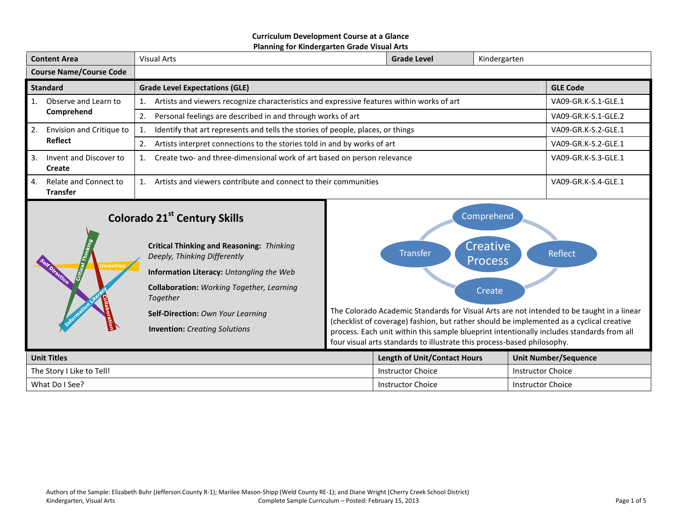#### **Curriculum Development Course at a Glance Planning for Kindergarten Grade Visual Arts**

| <b>Content Area</b>            |                                          | Visual Arts                                                                                          | <b>Grade Level</b> | Kindergarten        |                     |
|--------------------------------|------------------------------------------|------------------------------------------------------------------------------------------------------|--------------------|---------------------|---------------------|
| <b>Course Name/Course Code</b> |                                          |                                                                                                      |                    |                     |                     |
| <b>Standard</b>                |                                          | <b>Grade Level Expectations (GLE)</b>                                                                |                    |                     | <b>GLE Code</b>     |
|                                | Observe and Learn to                     | Artists and viewers recognize characteristics and expressive features within works of art            |                    |                     | VA09-GR.K-S.1-GLE.1 |
|                                | Comprehend                               | Personal feelings are described in and through works of art<br>2.                                    |                    |                     | VA09-GR.K-S.1-GLE.2 |
| 2.                             | Envision and Critique to<br>Reflect      | Identify that art represents and tells the stories of people, places, or things                      |                    |                     | VA09-GR.K-S.2-GLE.1 |
|                                |                                          | Artists interpret connections to the stories told in and by works of art<br>2.                       |                    | VA09-GR.K-S.2-GLE.1 |                     |
| 3.                             | Invent and Discover to<br>Create         | Create two- and three-dimensional work of art based on person relevance<br>VA09-GR.K-S.3-GLE.1<br>1. |                    |                     |                     |
| 4.                             | Relate and Connect to<br><b>Transfer</b> | Artists and viewers contribute and connect to their communities<br>1.                                |                    | VA09-GR.K-S.4-GLE.1 |                     |

# **Colorado 21st Century Skills**

|                  | Critical Thinking and Reasoning: Thinking<br>Deeply, Thinking Differently |
|------------------|---------------------------------------------------------------------------|
| <b>Invention</b> | Information Literacy: Untangling the Web                                  |
|                  | <b>Collaboration:</b> Working Together, Learning<br>Together              |
| <b>BDOTELLON</b> | <b>Self-Direction: Own Your Learning</b>                                  |
|                  | <b>Invention:</b> Creating Solutions                                      |
|                  |                                                                           |



The Colorado Academic Standards for Visual Arts are not intended to be taught in a linear (checklist of coverage) fashion, but rather should be implemented as a cyclical creative process. Each unit within this sample blueprint intentionally includes standards from all four visual arts standards to illustrate this process-based philosophy.

| <b>Unit Titles</b>        | <b>Length of Unit/Contact Hours</b> | <b>Unit Number/Sequence</b> |  |
|---------------------------|-------------------------------------|-----------------------------|--|
| The Story I Like to Tell! | <b>Instructor Choice</b>            | <b>Instructor Choice</b>    |  |
| What Do I See?            | <b>Instructor Choice</b>            | <b>Instructor Choice</b>    |  |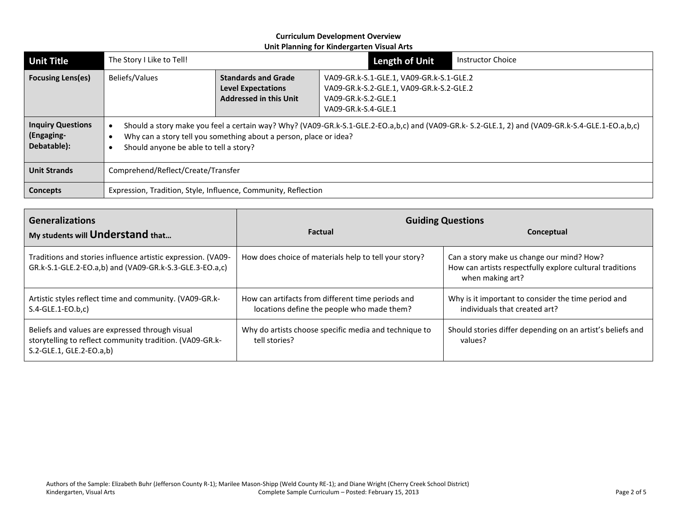| <b>Unit Title</b>                                                                 | The Story I Like to Tell!                                                                                                                                                                                                                                      |                                                                                                                                                                                                                                | <b>Length of Unit</b> | <b>Instructor Choice</b> |
|-----------------------------------------------------------------------------------|----------------------------------------------------------------------------------------------------------------------------------------------------------------------------------------------------------------------------------------------------------------|--------------------------------------------------------------------------------------------------------------------------------------------------------------------------------------------------------------------------------|-----------------------|--------------------------|
| <b>Focusing Lens(es)</b>                                                          | <b>Beliefs/Values</b>                                                                                                                                                                                                                                          | <b>Standards and Grade</b><br>VA09-GR.k-S.1-GLE.1, VA09-GR.k-S.1-GLE.2<br>VA09-GR.k-S.2-GLE.1, VA09-GR.k-S.2-GLE.2<br><b>Level Expectations</b><br><b>Addressed in this Unit</b><br>VA09-GR.k-S.2-GLE.1<br>VA09-GR.k-S.4-GLE.1 |                       |                          |
| <b>Inquiry Questions</b><br>(Engaging-<br>Debatable):                             | Should a story make you feel a certain way? Why? (VA09-GR.k-S.1-GLE.2-EO.a,b,c) and (VA09-GR.k-S.2-GLE.1, 2) and (VA09-GR.k-S.4-GLE.1-EO.a,b,c)<br>Why can a story tell you something about a person, place or idea?<br>Should anyone be able to tell a story? |                                                                                                                                                                                                                                |                       |                          |
| <b>Unit Strands</b>                                                               | Comprehend/Reflect/Create/Transfer                                                                                                                                                                                                                             |                                                                                                                                                                                                                                |                       |                          |
| Expression, Tradition, Style, Influence, Community, Reflection<br><b>Concepts</b> |                                                                                                                                                                                                                                                                |                                                                                                                                                                                                                                |                       |                          |

| <b>Generalizations</b>                                                                                                                  | <b>Guiding Questions</b>                                                                        |                                                                                                                           |  |
|-----------------------------------------------------------------------------------------------------------------------------------------|-------------------------------------------------------------------------------------------------|---------------------------------------------------------------------------------------------------------------------------|--|
| My students will Understand that                                                                                                        | <b>Factual</b>                                                                                  | Conceptual                                                                                                                |  |
| Traditions and stories influence artistic expression. (VA09-<br>GR.k-S.1-GLE.2-EO.a,b) and (VA09-GR.k-S.3-GLE.3-EO.a,c)                 | How does choice of materials help to tell your story?                                           | Can a story make us change our mind? How?<br>How can artists respectfully explore cultural traditions<br>when making art? |  |
| Artistic styles reflect time and community. (VA09-GR.k-<br>$S.4-GLE.1-EO.b.c$                                                           | How can artifacts from different time periods and<br>locations define the people who made them? | Why is it important to consider the time period and<br>individuals that created art?                                      |  |
| Beliefs and values are expressed through visual<br>storytelling to reflect community tradition. (VA09-GR.k-<br>S.2-GLE.1, GLE.2-EO.a,b) | Why do artists choose specific media and technique to<br>tell stories?                          | Should stories differ depending on an artist's beliefs and<br>values?                                                     |  |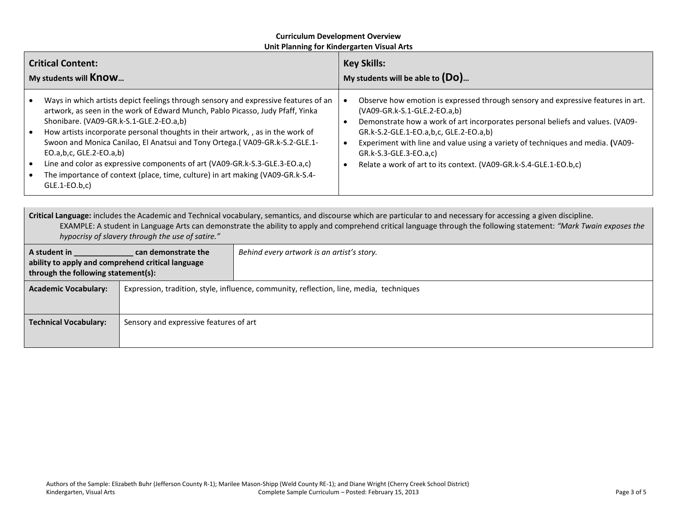| <b>Critical Content:</b>                                                                                                                                                                                                                                                                                                                                                                                                                                                                                                                                                                                                                                    | <b>Key Skills:</b>                                                                                                                                                                                                                                                                                                                                                                                                            |  |
|-------------------------------------------------------------------------------------------------------------------------------------------------------------------------------------------------------------------------------------------------------------------------------------------------------------------------------------------------------------------------------------------------------------------------------------------------------------------------------------------------------------------------------------------------------------------------------------------------------------------------------------------------------------|-------------------------------------------------------------------------------------------------------------------------------------------------------------------------------------------------------------------------------------------------------------------------------------------------------------------------------------------------------------------------------------------------------------------------------|--|
| My students will <b>Know</b>                                                                                                                                                                                                                                                                                                                                                                                                                                                                                                                                                                                                                                | My students will be able to $(Do)$                                                                                                                                                                                                                                                                                                                                                                                            |  |
| Ways in which artists depict feelings through sensory and expressive features of an<br>$\bullet$<br>artwork, as seen in the work of Edward Munch, Pablo Picasso, Judy Pfaff, Yinka<br>Shonibare. (VA09-GR.k-S.1-GLE.2-EO.a,b)<br>How artists incorporate personal thoughts in their artwork, , as in the work of<br>$\bullet$<br>Swoon and Monica Canilao, El Anatsui and Tony Ortega. (VA09-GR.k-S.2-GLE.1-<br>EO.a, b, c, GLE. $2$ -EO.a, b)<br>Line and color as expressive components of art (VA09-GR.k-S.3-GLE.3-EO.a,c)<br>$\bullet$<br>The importance of context (place, time, culture) in art making (VA09-GR.k-S.4-<br>$\bullet$<br>$GLE.1-EO.b.c$ | Observe how emotion is expressed through sensory and expressive features in art.<br>(VA09-GR.k-S.1-GLE.2-EO.a,b)<br>Demonstrate how a work of art incorporates personal beliefs and values. (VA09-<br>GR.k-S.2-GLE.1-EO.a,b,c, GLE.2-EO.a,b)<br>Experiment with line and value using a variety of techniques and media. (VA09-<br>GR.k-S.3-GLE.3-EO.a,c)<br>Relate a work of art to its context. (VA09-GR.k-S.4-GLE.1-EO.b,c) |  |

**Critical Language:** includes the Academic and Technical vocabulary, semantics, and discourse which are particular to and necessary for accessing a given discipline. EXAMPLE: A student in Language Arts can demonstrate the ability to apply and comprehend critical language through the following statement: *"Mark Twain exposes the hypocrisy of slavery through the use of satire."*

| A student in<br>can demonstrate the<br>ability to apply and comprehend critical language<br>through the following statement(s): |                                        | Behind every artwork is an artist's story.                                              |
|---------------------------------------------------------------------------------------------------------------------------------|----------------------------------------|-----------------------------------------------------------------------------------------|
| <b>Academic Vocabulary:</b>                                                                                                     |                                        | Expression, tradition, style, influence, community, reflection, line, media, techniques |
|                                                                                                                                 |                                        |                                                                                         |
| <b>Technical Vocabulary:</b>                                                                                                    | Sensory and expressive features of art |                                                                                         |
|                                                                                                                                 |                                        |                                                                                         |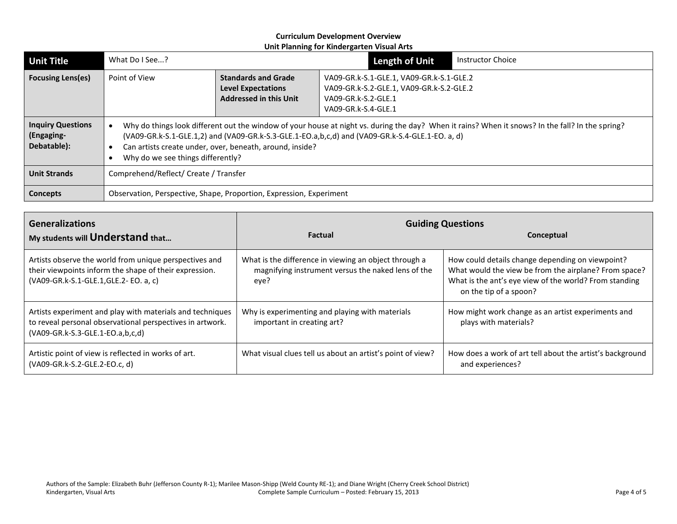| <b>Unit Title</b>                                     | What Do I See?                                                                                                                                                                                                                                                                                                                                       |                                                                                                                                                                                                                                | Length of Unit | <b>Instructor Choice</b> |
|-------------------------------------------------------|------------------------------------------------------------------------------------------------------------------------------------------------------------------------------------------------------------------------------------------------------------------------------------------------------------------------------------------------------|--------------------------------------------------------------------------------------------------------------------------------------------------------------------------------------------------------------------------------|----------------|--------------------------|
| <b>Focusing Lens(es)</b>                              | Point of View                                                                                                                                                                                                                                                                                                                                        | <b>Standards and Grade</b><br>VA09-GR.k-S.1-GLE.1, VA09-GR.k-S.1-GLE.2<br>VA09-GR.k-S.2-GLE.1, VA09-GR.k-S.2-GLE.2<br><b>Level Expectations</b><br><b>Addressed in this Unit</b><br>VA09-GR.k-S.2-GLE.1<br>VA09-GR.k-S.4-GLE.1 |                |                          |
| <b>Inquiry Questions</b><br>(Engaging-<br>Debatable): | Why do things look different out the window of your house at night vs. during the day? When it rains? When it snows? In the fall? In the spring?<br>(VA09-GR.k-S.1-GLE.1,2) and (VA09-GR.k-S.3-GLE.1-EO.a,b,c,d) and (VA09-GR.k-S.4-GLE.1-EO. a, d)<br>Can artists create under, over, beneath, around, inside?<br>Why do we see things differently? |                                                                                                                                                                                                                                |                |                          |
| <b>Unit Strands</b>                                   | Comprehend/Reflect/ Create / Transfer                                                                                                                                                                                                                                                                                                                |                                                                                                                                                                                                                                |                |                          |
| <b>Concepts</b>                                       | Observation, Perspective, Shape, Proportion, Expression, Experiment                                                                                                                                                                                                                                                                                  |                                                                                                                                                                                                                                |                |                          |

| <b>Generalizations</b>                                                                                                                                     | <b>Guiding Questions</b>                                                                                            |                                                                                                                                                                                               |  |  |
|------------------------------------------------------------------------------------------------------------------------------------------------------------|---------------------------------------------------------------------------------------------------------------------|-----------------------------------------------------------------------------------------------------------------------------------------------------------------------------------------------|--|--|
| My students will Understand that                                                                                                                           | <b>Factual</b>                                                                                                      | Conceptual                                                                                                                                                                                    |  |  |
| Artists observe the world from unique perspectives and<br>their viewpoints inform the shape of their expression.<br>(VA09-GR.k-S.1-GLE.1,GLE.2-EO. a, c)   | What is the difference in viewing an object through a<br>magnifying instrument versus the naked lens of the<br>eye? | How could details change depending on viewpoint?<br>What would the view be from the airplane? From space?<br>What is the ant's eye view of the world? From standing<br>on the tip of a spoon? |  |  |
| Artists experiment and play with materials and techniques<br>to reveal personal observational perspectives in artwork.<br>(VA09-GR.k-S.3-GLE.1-EO.a,b,c,d) | Why is experimenting and playing with materials<br>important in creating art?                                       | How might work change as an artist experiments and<br>plays with materials?                                                                                                                   |  |  |
| Artistic point of view is reflected in works of art.<br>(VA09-GR.k-S.2-GLE.2-EO.c, d)                                                                      | What visual clues tell us about an artist's point of view?                                                          | How does a work of art tell about the artist's background<br>and experiences?                                                                                                                 |  |  |